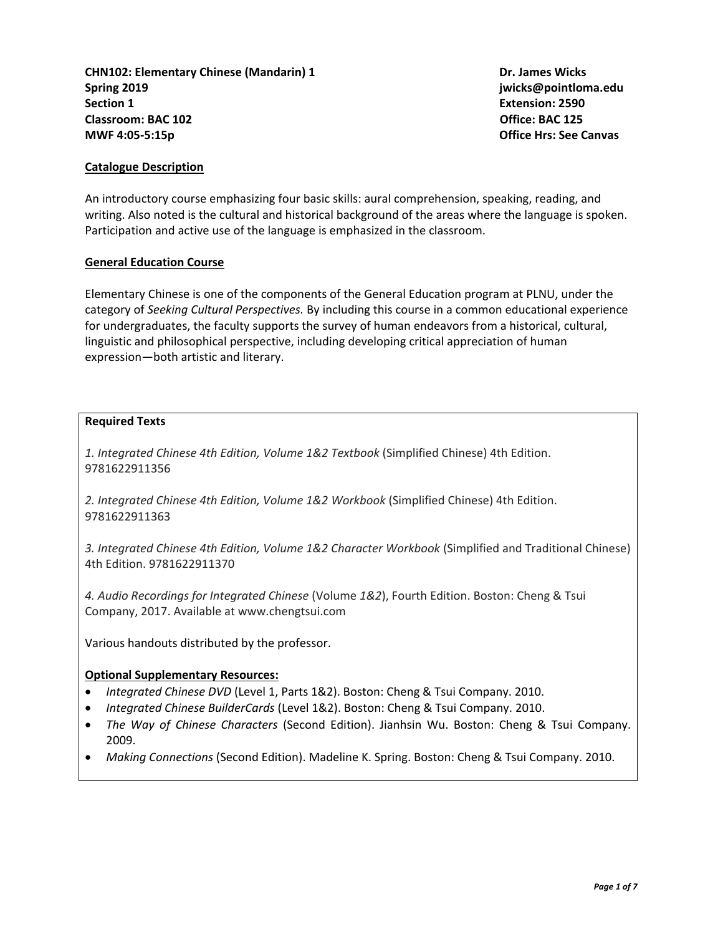**CHN102: Elementary Chinese (Mandarin) 1 Dr. James Wicks Spring 2019 jwicks@pointloma.edu Section 1 Extension: 2590 Classroom: BAC 102** Office: BAC 125 **MWF 4:05-5:15p Office Hrs: See Canvas**

### **Catalogue Description**

An introductory course emphasizing four basic skills: aural comprehension, speaking, reading, and writing. Also noted is the cultural and historical background of the areas where the language is spoken. Participation and active use of the language is emphasized in the classroom.

#### **General Education Course**

Elementary Chinese is one of the components of the General Education program at PLNU, under the category of *Seeking Cultural Perspectives.* By including this course in a common educational experience for undergraduates, the faculty supports the survey of human endeavors from a historical, cultural, linguistic and philosophical perspective, including developing critical appreciation of human expression—both artistic and literary.

#### **Required Texts**

*1. Integrated Chinese 4th Edition, Volume 1&2 Textbook* (Simplified Chinese) 4th Edition. 9781622911356

*2. Integrated Chinese 4th Edition, Volume 1&2 Workbook* (Simplified Chinese) 4th Edition. 9781622911363

*3. Integrated Chinese 4th Edition, Volume 1&2 Character Workbook* (Simplified and Traditional Chinese) 4th Edition. 9781622911370

*4. Audio Recordings for Integrated Chinese* (Volume *1&2*), Fourth Edition. Boston: Cheng & Tsui Company, 2017. Available at www.chengtsui.com

Various handouts distributed by the professor.

#### **Optional Supplementary Resources:**

- *Integrated Chinese DVD* (Level 1, Parts 1&2). Boston: Cheng & Tsui Company. 2010.
- *Integrated Chinese BuilderCards* (Level 1&2). Boston: Cheng & Tsui Company. 2010.
- *The Way of Chinese Characters* (Second Edition). Jianhsin Wu. Boston: Cheng & Tsui Company. 2009.
- *Making Connections* (Second Edition). Madeline K. Spring. Boston: Cheng & Tsui Company. 2010.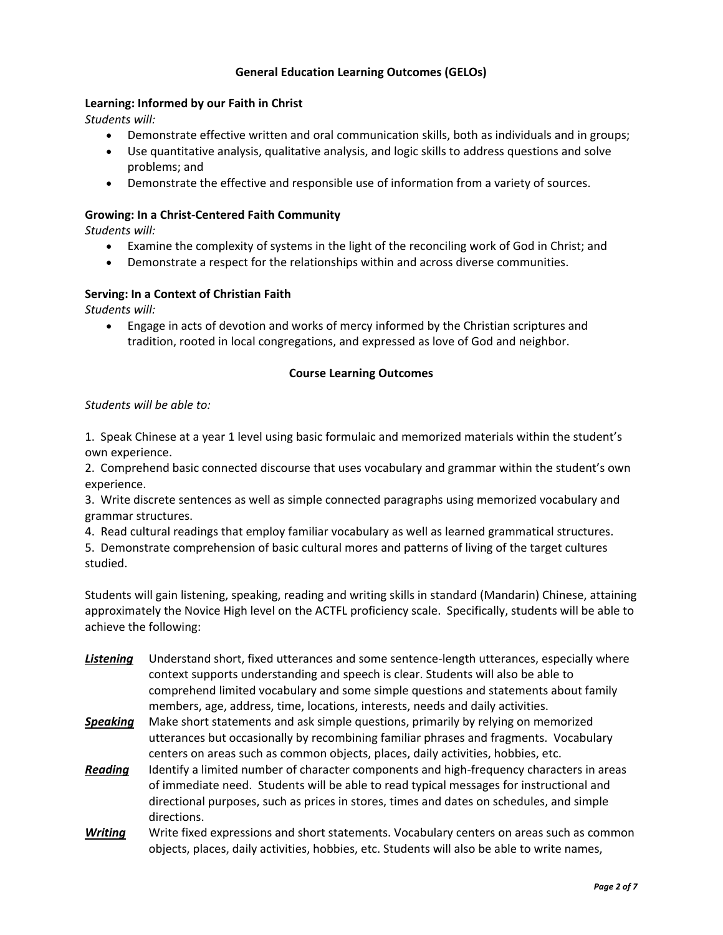# **General Education Learning Outcomes (GELOs)**

# **Learning: Informed by our Faith in Christ**

*Students will:*

- Demonstrate effective written and oral communication skills, both as individuals and in groups;
- Use quantitative analysis, qualitative analysis, and logic skills to address questions and solve problems; and
- Demonstrate the effective and responsible use of information from a variety of sources.

### **Growing: In a Christ-Centered Faith Community**

*Students will:*

- Examine the complexity of systems in the light of the reconciling work of God in Christ; and
- Demonstrate a respect for the relationships within and across diverse communities.

### **Serving: In a Context of Christian Faith**

*Students will:*

 Engage in acts of devotion and works of mercy informed by the Christian scriptures and tradition, rooted in local congregations, and expressed as love of God and neighbor.

### **Course Learning Outcomes**

#### *Students will be able to:*

1. Speak Chinese at a year 1 level using basic formulaic and memorized materials within the student's own experience.

2. Comprehend basic connected discourse that uses vocabulary and grammar within the student's own experience.

3. Write discrete sentences as well as simple connected paragraphs using memorized vocabulary and grammar structures.

4. Read cultural readings that employ familiar vocabulary as well as learned grammatical structures.

5. Demonstrate comprehension of basic cultural mores and patterns of living of the target cultures studied.

Students will gain listening, speaking, reading and writing skills in standard (Mandarin) Chinese, attaining approximately the Novice High level on the ACTFL proficiency scale. Specifically, students will be able to achieve the following:

- *Listening* Understand short, fixed utterances and some sentence-length utterances, especially where context supports understanding and speech is clear. Students will also be able to comprehend limited vocabulary and some simple questions and statements about family members, age, address, time, locations, interests, needs and daily activities.
- *Speaking* Make short statements and ask simple questions, primarily by relying on memorized utterances but occasionally by recombining familiar phrases and fragments. Vocabulary centers on areas such as common objects, places, daily activities, hobbies, etc.
- *Reading* Identify a limited number of character components and high-frequency characters in areas of immediate need. Students will be able to read typical messages for instructional and directional purposes, such as prices in stores, times and dates on schedules, and simple directions.
- *Writing* Write fixed expressions and short statements. Vocabulary centers on areas such as common objects, places, daily activities, hobbies, etc. Students will also be able to write names,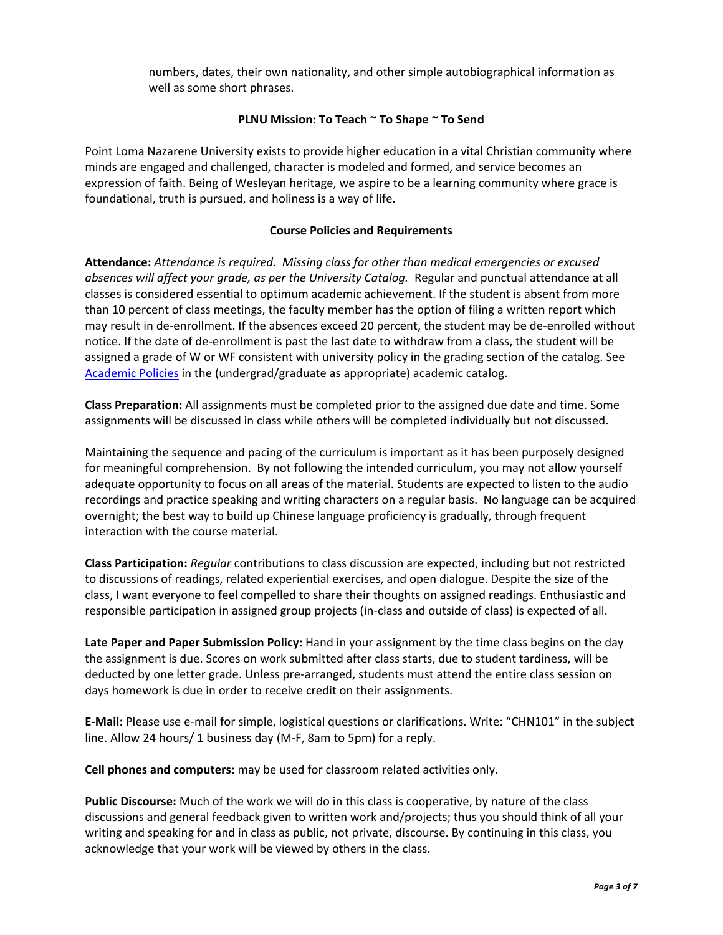numbers, dates, their own nationality, and other simple autobiographical information as well as some short phrases.

# **PLNU Mission: To Teach ~ To Shape ~ To Send**

Point Loma Nazarene University exists to provide higher education in a vital Christian community where minds are engaged and challenged, character is modeled and formed, and service becomes an expression of faith. Being of Wesleyan heritage, we aspire to be a learning community where grace is foundational, truth is pursued, and holiness is a way of life.

## **Course Policies and Requirements**

**Attendance:** *Attendance is required. Missing class for other than medical emergencies or excused absences will affect your grade, as per the University Catalog.* Regular and punctual attendance at all classes is considered essential to optimum academic achievement. If the student is absent from more than 10 percent of class meetings, the faculty member has the option of filing a written report which may result in de-enrollment. If the absences exceed 20 percent, the student may be de-enrolled without notice. If the date of de-enrollment is past the last date to withdraw from a class, the student will be assigned a grade of W or WF consistent with university policy in the grading section of the catalog. See [Academic Policies](http://catalog.pointloma.edu/content.php?catoid=24&navoid=1581) in the (undergrad/graduate as appropriate) academic catalog.

**Class Preparation:** All assignments must be completed prior to the assigned due date and time. Some assignments will be discussed in class while others will be completed individually but not discussed.

Maintaining the sequence and pacing of the curriculum is important as it has been purposely designed for meaningful comprehension. By not following the intended curriculum, you may not allow yourself adequate opportunity to focus on all areas of the material. Students are expected to listen to the audio recordings and practice speaking and writing characters on a regular basis. No language can be acquired overnight; the best way to build up Chinese language proficiency is gradually, through frequent interaction with the course material.

**Class Participation:** *Regular* contributions to class discussion are expected, including but not restricted to discussions of readings, related experiential exercises, and open dialogue. Despite the size of the class, I want everyone to feel compelled to share their thoughts on assigned readings. Enthusiastic and responsible participation in assigned group projects (in-class and outside of class) is expected of all.

**Late Paper and Paper Submission Policy:** Hand in your assignment by the time class begins on the day the assignment is due. Scores on work submitted after class starts, due to student tardiness, will be deducted by one letter grade. Unless pre-arranged, students must attend the entire class session on days homework is due in order to receive credit on their assignments.

**E-Mail:** Please use e-mail for simple, logistical questions or clarifications. Write: "CHN101" in the subject line. Allow 24 hours/ 1 business day (M-F, 8am to 5pm) for a reply.

**Cell phones and computers:** may be used for classroom related activities only.

**Public Discourse:** Much of the work we will do in this class is cooperative, by nature of the class discussions and general feedback given to written work and/projects; thus you should think of all your writing and speaking for and in class as public, not private, discourse. By continuing in this class, you acknowledge that your work will be viewed by others in the class.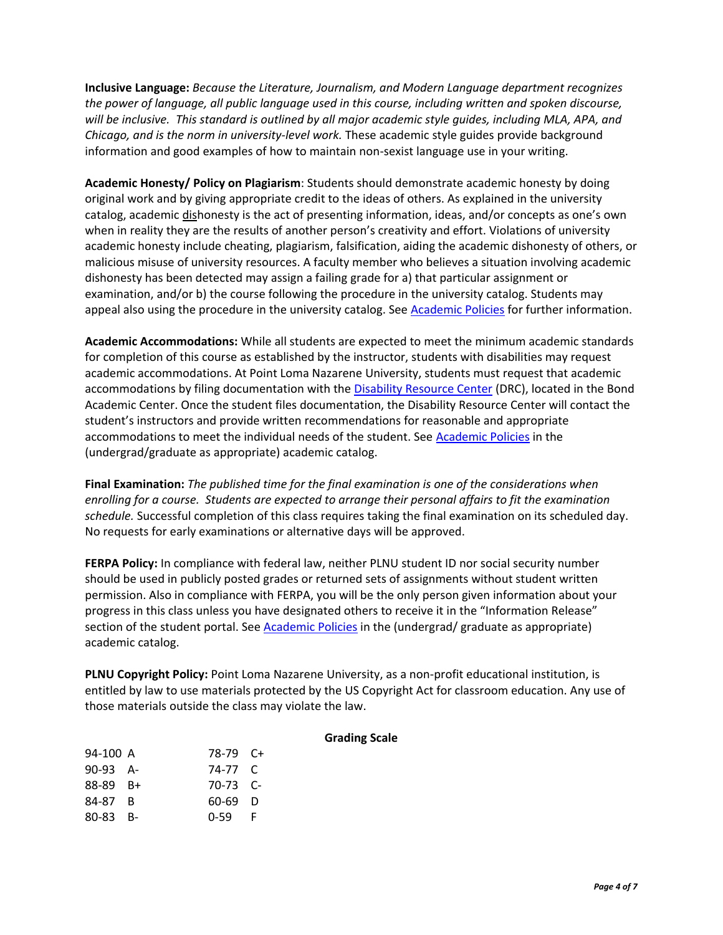**Inclusive Language:** *Because the Literature, Journalism, and Modern Language department recognizes the power of language, all public language used in this course, including written and spoken discourse, will be inclusive. This standard is outlined by all major academic style guides, including MLA, APA, and Chicago, and is the norm in university-level work.* These academic style guides provide background information and good examples of how to maintain non-sexist language use in your writing.

**Academic Honesty/ Policy on Plagiarism**: Students should demonstrate academic honesty by doing original work and by giving appropriate credit to the ideas of others. As explained in the university catalog, academic dishonesty is the act of presenting information, ideas, and/or concepts as one's own when in reality they are the results of another person's creativity and effort. Violations of university academic honesty include cheating, plagiarism, falsification, aiding the academic dishonesty of others, or malicious misuse of university resources. A faculty member who believes a situation involving academic dishonesty has been detected may assign a failing grade for a) that particular assignment or examination, and/or b) the course following the procedure in the university catalog. Students may appeal also using the procedure in the university catalog. See [Academic Policies](http://catalog.pointloma.edu/content.php?catoid=24&navoid=1581#Academic_Honesty) for further information.

**Academic Accommodations:** While all students are expected to meet the minimum academic standards for completion of this course as established by the instructor, students with disabilities may request academic accommodations. At Point Loma Nazarene University, students must request that academic accommodations by filing documentation with the [Disability Resource Center](http://www.pointloma.edu/experience/offices/administrative-offices/academic-advising-office/disability-resource-center) (DRC), located in the Bond Academic Center. Once the student files documentation, the Disability Resource Center will contact the student's instructors and provide written recommendations for reasonable and appropriate accommodations to meet the individual needs of the student. See [Academic Policies](http://catalog.pointloma.edu/content.php?catoid=24&navoid=1581) in the (undergrad/graduate as appropriate) academic catalog.

**Final Examination:** *The published time for the final examination is one of the considerations when enrolling for a course. Students are expected to arrange their personal affairs to fit the examination schedule.* Successful completion of this class requires taking the final examination on its scheduled day. No requests for early examinations or alternative days will be approved.

**FERPA Policy:** In compliance with federal law, neither PLNU student ID nor social security number should be used in publicly posted grades or returned sets of assignments without student written permission. Also in compliance with FERPA, you will be the only person given information about your progress in this class unless you have designated others to receive it in the "Information Release" section of the student portal. See [Academic Policies](http://catalog.pointloma.edu/content.php?catoid=24&navoid=1581) in the (undergrad/ graduate as appropriate) academic catalog.

**PLNU Copyright Policy:** Point Loma Nazarene University, as a non-profit educational institution, is entitled by law to use materials protected by the US Copyright Act for classroom education. Any use of those materials outside the class may violate the law.

#### **Grading Scale**

| 94-100 A | 78-79 C+   |    |
|----------|------------|----|
| 90-93 A- | 74-77 C    |    |
| 88-89 B+ | $70-73$ C- |    |
| 84-87 B  | 60-69 D    |    |
| 80-83 B- | $0 - 59$   | -F |
|          |            |    |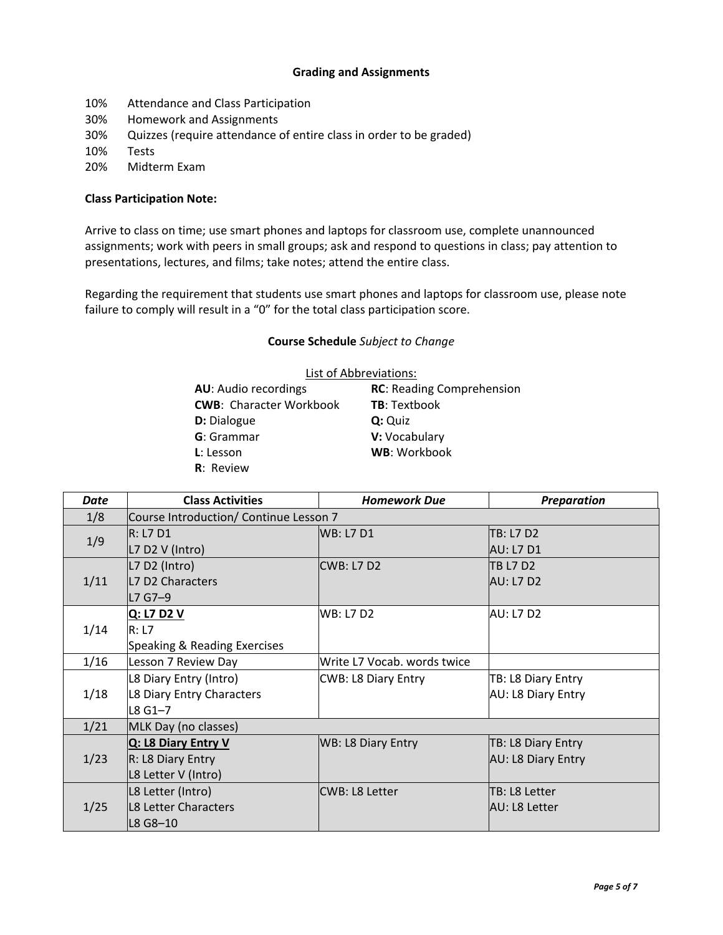# **Grading and Assignments**

- 10% Attendance and Class Participation
- 30% Homework and Assignments
- 30% Quizzes (require attendance of entire class in order to be graded)
- 10% Tests
- 20% Midterm Exam

#### **Class Participation Note:**

Arrive to class on time; use smart phones and laptops for classroom use, complete unannounced assignments; work with peers in small groups; ask and respond to questions in class; pay attention to presentations, lectures, and films; take notes; attend the entire class.

Regarding the requirement that students use smart phones and laptops for classroom use, please note failure to comply will result in a "0" for the total class participation score.

### **Course Schedule** *Subject to Change*

| List of Abbreviations:         |                                  |  |  |  |
|--------------------------------|----------------------------------|--|--|--|
| <b>AU:</b> Audio recordings    | <b>RC: Reading Comprehension</b> |  |  |  |
| <b>CWB: Character Workbook</b> | <b>TB: Textbook</b>              |  |  |  |
| D: Dialogue                    | Q: Quiz                          |  |  |  |
| G: Grammar                     | V: Vocabulary                    |  |  |  |
| <b>L</b> : Lesson              | WB: Workbook                     |  |  |  |
| <b>R</b> : Review              |                                  |  |  |  |

| <b>Date</b> | <b>Class Activities</b>                | <b>Homework Due</b>         | <b>Preparation</b>    |
|-------------|----------------------------------------|-----------------------------|-----------------------|
| 1/8         | Course Introduction/ Continue Lesson 7 |                             |                       |
| 1/9         | R: L7 D1                               | <b>WB: L7 D1</b>            | <b>TB: L7 D2</b>      |
|             | L7 D2 V (Intro)                        |                             | <b>AU: L7 D1</b>      |
| 1/11        | L7 D2 (Intro)                          | CWB: L7 D2                  | <b>TB L7 D2</b>       |
|             | L7 D2 Characters                       |                             | <b>AU: L7 D2</b>      |
|             | L7 G7-9                                |                             |                       |
| 1/14        | Q: L7 D2 V                             | <b>WB: L7 D2</b>            | <b>AU: L7 D2</b>      |
|             | R: L7                                  |                             |                       |
|             | Speaking & Reading Exercises           |                             |                       |
| 1/16        | Lesson 7 Review Day                    | Write L7 Vocab. words twice |                       |
| 1/18        | L8 Diary Entry (Intro)                 | CWB: L8 Diary Entry         | TB: L8 Diary Entry    |
|             | L8 Diary Entry Characters              |                             | AU: L8 Diary Entry    |
|             | $L8$ G1-7                              |                             |                       |
| 1/21        | MLK Day (no classes)                   |                             |                       |
| 1/23        | Q: L8 Diary Entry V                    | <b>WB: L8 Diary Entry</b>   | TB: L8 Diary Entry    |
|             | R: L8 Diary Entry                      |                             | AU: L8 Diary Entry    |
|             | L8 Letter V (Intro)                    |                             |                       |
| 1/25        | L8 Letter (Intro)                      | CWB: L8 Letter              | TB: L8 Letter         |
|             | L8 Letter Characters                   |                             | <b>JAU: L8 Letter</b> |
|             | L8 G8-10                               |                             |                       |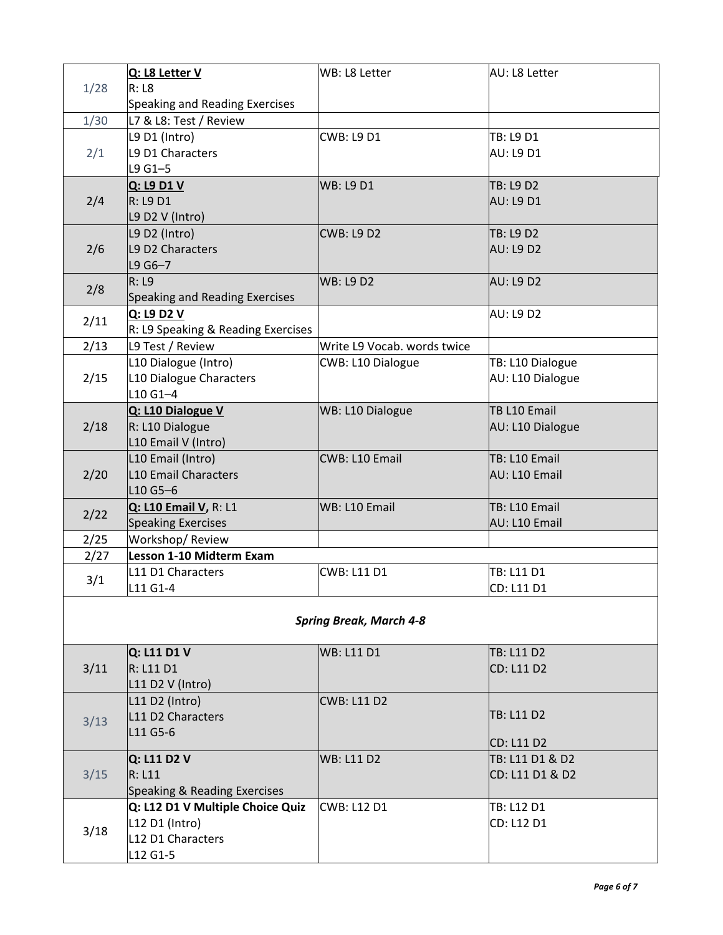|      | Q: L8 Letter V                     | WB: L8 Letter                  | AU: L8 Letter     |
|------|------------------------------------|--------------------------------|-------------------|
| 1/28 | R: L8                              |                                |                   |
|      | Speaking and Reading Exercises     |                                |                   |
| 1/30 | L7 & L8: Test / Review             |                                |                   |
| 2/1  | L9 D1 (Intro)                      | CWB: L9 D1                     | TB: L9 D1         |
|      | L9 D1 Characters                   |                                | <b>AU: L9 D1</b>  |
|      | $L9G1-5$                           |                                |                   |
|      | Q: L9 D1 V                         | <b>WB: L9 D1</b>               | TB: L9 D2         |
| 2/4  | <b>R: L9 D1</b>                    |                                | <b>AU: L9 D1</b>  |
|      | L9 D2 V (Intro)                    |                                |                   |
|      | L9 D2 (Intro)                      | <b>CWB: L9 D2</b>              | <b>TB: L9 D2</b>  |
| 2/6  | L9 D2 Characters                   |                                | <b>AU: L9 D2</b>  |
|      | $L9G6 - 7$                         |                                |                   |
|      | R: L9                              | <b>WB: L9 D2</b>               | <b>AU: L9 D2</b>  |
| 2/8  | Speaking and Reading Exercises     |                                |                   |
|      | Q: L9 D2 V                         |                                | <b>AU: L9 D2</b>  |
| 2/11 | R: L9 Speaking & Reading Exercises |                                |                   |
| 2/13 | L9 Test / Review                   | Write L9 Vocab. words twice    |                   |
|      | L10 Dialogue (Intro)               | CWB: L10 Dialogue              | TB: L10 Dialogue  |
| 2/15 | L10 Dialogue Characters            |                                | AU: L10 Dialogue  |
|      | $L10G1 - 4$                        |                                |                   |
|      | Q: L10 Dialogue V                  | WB: L10 Dialogue               | TB L10 Email      |
| 2/18 | R: L10 Dialogue                    |                                | AU: L10 Dialogue  |
|      | L10 Email V (Intro)                |                                |                   |
|      | L10 Email (Intro)                  | CWB: L10 Email                 | TB: L10 Email     |
| 2/20 | <b>L10 Email Characters</b>        |                                | AU: L10 Email     |
|      | L10 G5-6                           |                                |                   |
| 2/22 | Q: L10 Email V, R: L1              | WB: L10 Email                  | TB: L10 Email     |
|      | <b>Speaking Exercises</b>          |                                | AU: L10 Email     |
| 2/25 | Workshop/Review                    |                                |                   |
| 2/27 | Lesson 1-10 Midterm Exam           |                                |                   |
| 3/1  | L11 D1 Characters                  | <b>CWB: L11 D1</b>             | TB: L11 D1        |
|      | L11 G1-4                           |                                | CD: L11 D1        |
|      |                                    |                                |                   |
|      |                                    | <b>Spring Break, March 4-8</b> |                   |
|      |                                    |                                |                   |
|      | Q: L11 D1 V                        | <b>WB: L11 D1</b>              | TB: L11 D2        |
| 3/11 | R: L11 D1                          |                                | <b>CD: L11 D2</b> |
|      | L11 D2 V (Intro)                   |                                |                   |
| 3/13 | L11 D2 (Intro)                     | <b>CWB: L11 D2</b>             |                   |
|      | L11 D2 Characters                  |                                | TB: L11 D2        |
|      | L11 G5-6                           |                                | <b>CD: L11 D2</b> |
| 3/15 | Q: L11 D2 V                        | <b>WB: L11 D2</b>              | TB: L11 D1 & D2   |
|      | R: L11                             |                                | CD: L11 D1 & D2   |
|      | Speaking & Reading Exercises       |                                |                   |
| 3/18 | Q: L12 D1 V Multiple Choice Quiz   | <b>CWB: L12 D1</b>             | TB: L12 D1        |
|      | L12 D1 (Intro)                     |                                | CD: L12 D1        |
|      | L12 D1 Characters                  |                                |                   |
|      | L12 G1-5                           |                                |                   |
|      |                                    |                                |                   |